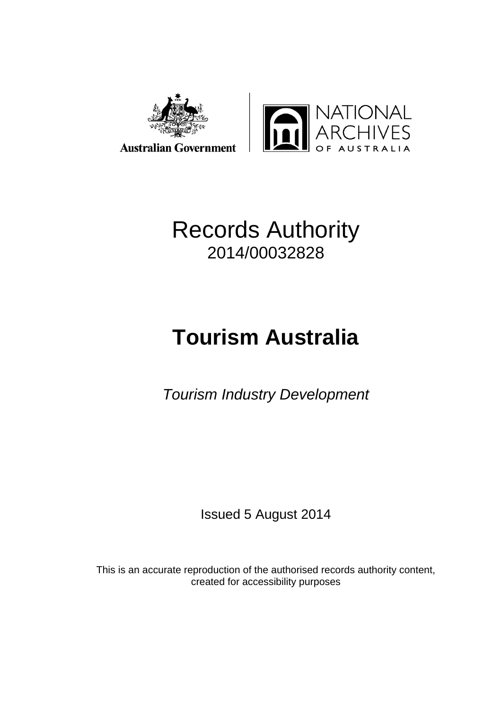



## Records Authority 2014/00032828

# **Tourism Australia**

*Tourism Industry Development*

Issued 5 August 2014

This is an accurate reproduction of the authorised records authority content, created for accessibility purposes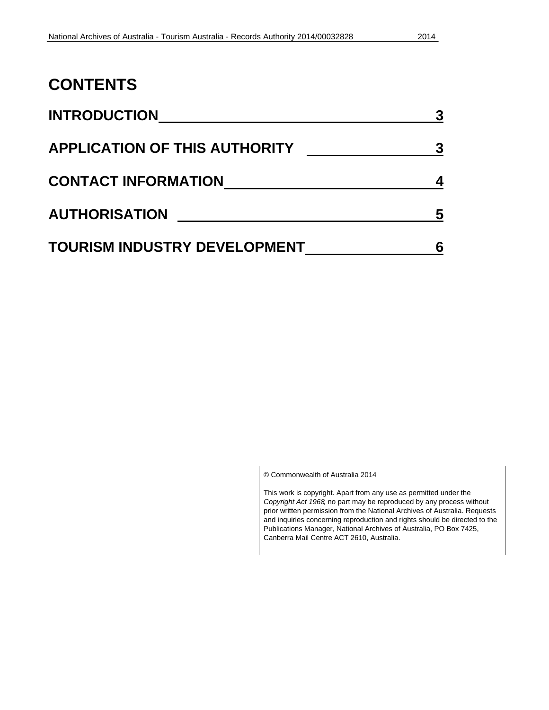### **CONTENTS**

| <b>INTRODUCTION</b>                  | 3 |
|--------------------------------------|---|
| <b>APPLICATION OF THIS AUTHORITY</b> | 3 |
| <b>CONTACT INFORMATION</b>           |   |
| <b>AUTHORISATION</b>                 | 5 |
| <b>TOURISM INDUSTRY DEVELOPMENT</b>  |   |

© Commonwealth of Australia 2014

This work is copyright. Apart from any use as permitted under the *Copyright Act 1968,* no part may be reproduced by any process without prior written permission from the National Archives of Australia. Requests and inquiries concerning reproduction and rights should be directed to the Publications Manager, National Archives of Australia, PO Box 7425, Canberra Mail Centre ACT 2610, Australia.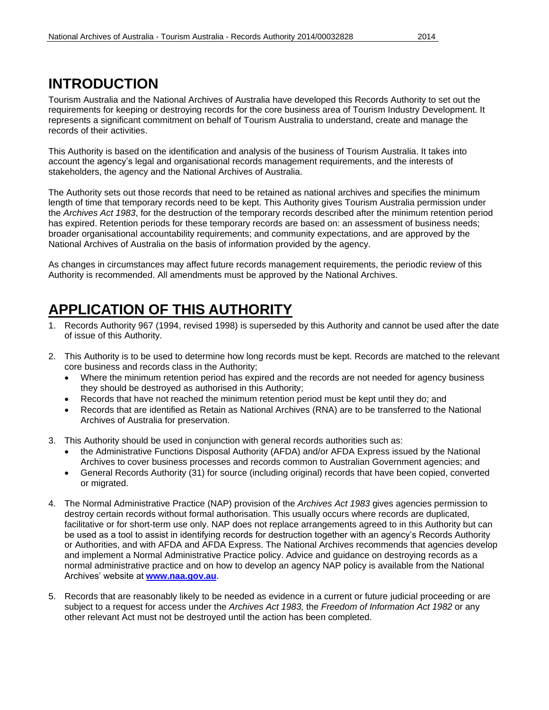#### **INTRODUCTION**

Tourism Australia and the National Archives of Australia have developed this Records Authority to set out the requirements for keeping or destroying records for the core business area of Tourism Industry Development. It represents a significant commitment on behalf of Tourism Australia to understand, create and manage the records of their activities.

This Authority is based on the identification and analysis of the business of Tourism Australia. It takes into account the agency's legal and organisational records management requirements, and the interests of stakeholders, the agency and the National Archives of Australia.

The Authority sets out those records that need to be retained as national archives and specifies the minimum length of time that temporary records need to be kept. This Authority gives Tourism Australia permission under the *Archives Act 1983*, for the destruction of the temporary records described after the minimum retention period has expired. Retention periods for these temporary records are based on: an assessment of business needs; broader organisational accountability requirements; and community expectations, and are approved by the National Archives of Australia on the basis of information provided by the agency.

As changes in circumstances may affect future records management requirements, the periodic review of this Authority is recommended. All amendments must be approved by the National Archives.

## **APPLICATION OF THIS AUTHORITY**

- 1. Records Authority 967 (1994, revised 1998) is superseded by this Authority and cannot be used after the date of issue of this Authority.
- 2. This Authority is to be used to determine how long records must be kept. Records are matched to the relevant core business and records class in the Authority;
	- Where the minimum retention period has expired and the records are not needed for agency business they should be destroyed as authorised in this Authority;
	- Records that have not reached the minimum retention period must be kept until they do; and
	- Records that are identified as Retain as National Archives (RNA) are to be transferred to the National Archives of Australia for preservation.
- 3. This Authority should be used in conjunction with general records authorities such as:
	- the Administrative Functions Disposal Authority (AFDA) and/or AFDA Express issued by the National Archives to cover business processes and records common to Australian Government agencies; and
	- General Records Authority (31) for source (including original) records that have been copied, converted or migrated.
- 4. The Normal Administrative Practice (NAP) provision of the *Archives Act 1983* gives agencies permission to destroy certain records without formal authorisation. This usually occurs where records are duplicated, facilitative or for short-term use only. NAP does not replace arrangements agreed to in this Authority but can be used as a tool to assist in identifying records for destruction together with an agency's Records Authority or Authorities, and with AFDA and AFDA Express. The National Archives recommends that agencies develop and implement a Normal Administrative Practice policy. Advice and guidance on destroying records as a normal administrative practice and on how to develop an agency NAP policy is available from the National Archives' website at **[www.naa.gov.au](http://www.naa.gov.au/)**.
- 5. Records that are reasonably likely to be needed as evidence in a current or future judicial proceeding or are subject to a request for access under the *Archives Act 1983,* the *Freedom of Information Act 1982* or any other relevant Act must not be destroyed until the action has been completed.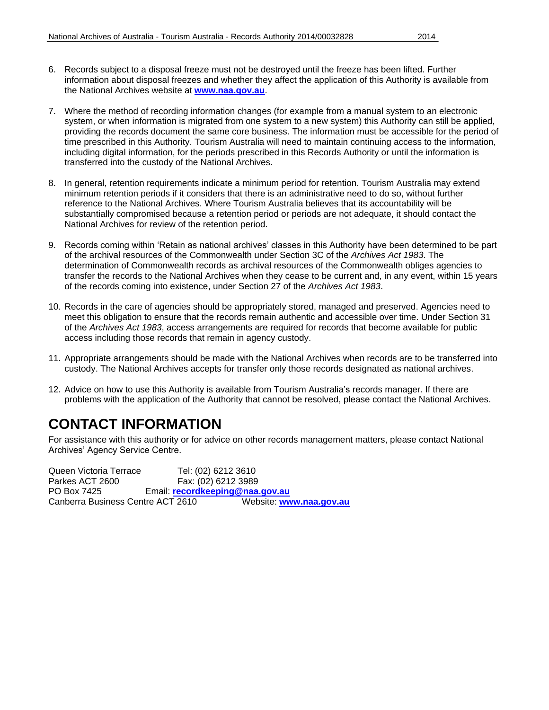- 6. Records subject to a disposal freeze must not be destroyed until the freeze has been lifted. Further information about disposal freezes and whether they affect the application of this Authority is available from the National Archives website at **[www.naa.gov.au](http://www.naa.gov.au/)**.
- 7. Where the method of recording information changes (for example from a manual system to an electronic system, or when information is migrated from one system to a new system) this Authority can still be applied, providing the records document the same core business. The information must be accessible for the period of time prescribed in this Authority. Tourism Australia will need to maintain continuing access to the information, including digital information, for the periods prescribed in this Records Authority or until the information is transferred into the custody of the National Archives.
- 8. In general, retention requirements indicate a minimum period for retention. Tourism Australia may extend minimum retention periods if it considers that there is an administrative need to do so, without further reference to the National Archives. Where Tourism Australia believes that its accountability will be substantially compromised because a retention period or periods are not adequate, it should contact the National Archives for review of the retention period.
- 9. Records coming within 'Retain as national archives' classes in this Authority have been determined to be part of the archival resources of the Commonwealth under Section 3C of the *Archives Act 1983*. The determination of Commonwealth records as archival resources of the Commonwealth obliges agencies to transfer the records to the National Archives when they cease to be current and, in any event, within 15 years of the records coming into existence, under Section 27 of the *Archives Act 1983*.
- 10. Records in the care of agencies should be appropriately stored, managed and preserved. Agencies need to meet this obligation to ensure that the records remain authentic and accessible over time. Under Section 31 of the *Archives Act 1983*, access arrangements are required for records that become available for public access including those records that remain in agency custody.
- 11. Appropriate arrangements should be made with the National Archives when records are to be transferred into custody. The National Archives accepts for transfer only those records designated as national archives.
- 12. Advice on how to use this Authority is available from Tourism Australia's records manager. If there are problems with the application of the Authority that cannot be resolved, please contact the National Archives.

### **CONTACT INFORMATION**

For assistance with this authority or for advice on other records management matters, please contact National Archives' Agency Service Centre.

Queen Victoria Terrace Tel: (02) 6212 3610 Parkes ACT 2600 Fax: (02) 6212 3989 PO Box 7425 Email: **[recordkeeping@naa.gov.au](mailto:recordkeeping@naa.gov.au)** Canberra Business Centre ACT 2610 Website: **[www.naa.gov.au](http://www.naa.gov.au/)**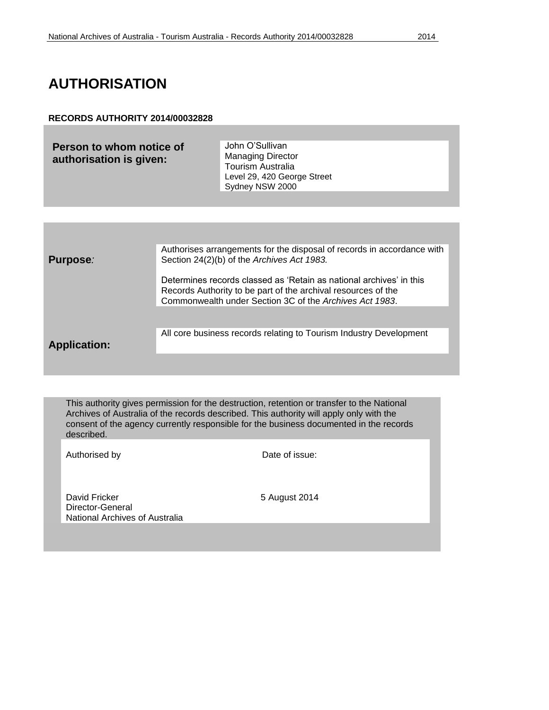### **AUTHORISATION**

#### **RECORDS AUTHORITY 2014/00032828**

| Person to whom notice of<br>authorisation is given: | John O'Sullivan<br><b>Managing Director</b><br><b>Tourism Australia</b><br>Level 29, 420 George Street<br>Sydney NSW 2000 |
|-----------------------------------------------------|---------------------------------------------------------------------------------------------------------------------------|
|                                                     |                                                                                                                           |
|                                                     |                                                                                                                           |

**Purpose***:* Authorises arrangements for the disposal of records in accordance with Section 24(2)(b) of the *Archives Act 1983.* Determines records classed as 'Retain as national archives' in this Records Authority to be part of the archival resources of the Commonwealth under Section 3C of the *Archives Act 1983*. **Application:** All core business records relating to Tourism Industry Development

This authority gives permission for the destruction, retention or transfer to the National Archives of Australia of the records described. This authority will apply only with the consent of the agency currently responsible for the business documented in the records described.

Authorised by Date of issue:

David Fricker 5 August 2014 Director-General National Archives of Australia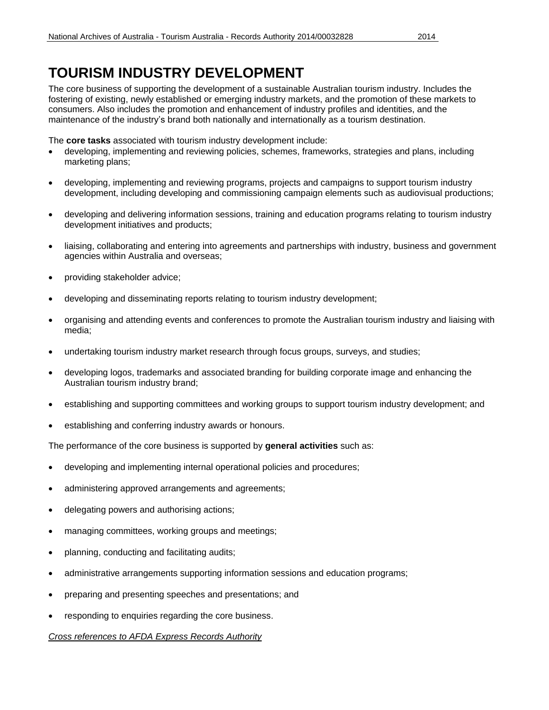### **TOURISM INDUSTRY DEVELOPMENT**

The core business of supporting the development of a sustainable Australian tourism industry. Includes the fostering of existing, newly established or emerging industry markets, and the promotion of these markets to consumers. Also includes the promotion and enhancement of industry profiles and identities, and the maintenance of the industry's brand both nationally and internationally as a tourism destination.

The **core tasks** associated with tourism industry development include:

- developing, implementing and reviewing policies, schemes, frameworks, strategies and plans, including marketing plans;
- developing, implementing and reviewing programs, projects and campaigns to support tourism industry development, including developing and commissioning campaign elements such as audiovisual productions;
- developing and delivering information sessions, training and education programs relating to tourism industry development initiatives and products;
- liaising, collaborating and entering into agreements and partnerships with industry, business and government agencies within Australia and overseas;
- providing stakeholder advice;
- developing and disseminating reports relating to tourism industry development;
- organising and attending events and conferences to promote the Australian tourism industry and liaising with media;
- undertaking tourism industry market research through focus groups, surveys, and studies;
- developing logos, trademarks and associated branding for building corporate image and enhancing the Australian tourism industry brand;
- establishing and supporting committees and working groups to support tourism industry development; and
- establishing and conferring industry awards or honours.

The performance of the core business is supported by **general activities** such as:

- developing and implementing internal operational policies and procedures;
- administering approved arrangements and agreements;
- delegating powers and authorising actions;
- managing committees, working groups and meetings;
- planning, conducting and facilitating audits;
- administrative arrangements supporting information sessions and education programs;
- preparing and presenting speeches and presentations; and
- responding to enquiries regarding the core business.

*Cross references to AFDA Express Records Authority*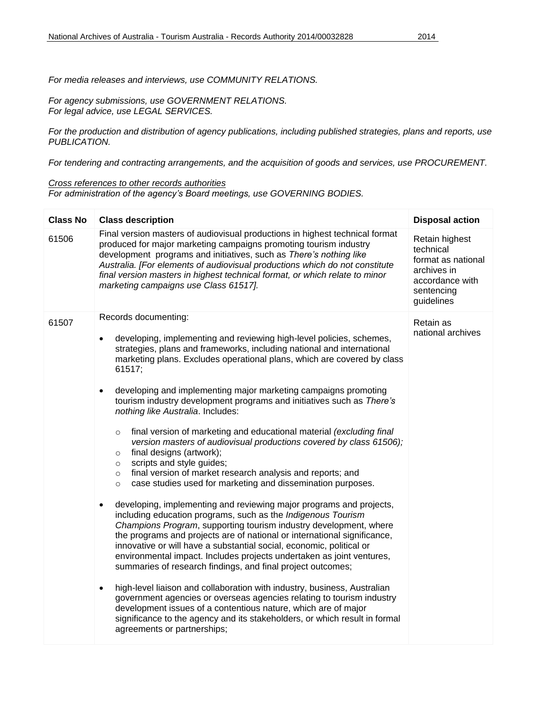*For media releases and interviews, use COMMUNITY RELATIONS.*

*For agency submissions, use GOVERNMENT RELATIONS. For legal advice, use LEGAL SERVICES.*

*For the production and distribution of agency publications, including published strategies, plans and reports, use PUBLICATION.*

*For tendering and contracting arrangements, and the acquisition of goods and services, use PROCUREMENT.*

#### *Cross references to other records authorities*

*For administration of the agency's Board meetings, use GOVERNING BODIES.*

| Final version masters of audiovisual productions in highest technical format<br>61506<br>Retain highest<br>produced for major marketing campaigns promoting tourism industry<br>technical<br>development programs and initiatives, such as There's nothing like<br>format as national<br>Australia. [For elements of audiovisual productions which do not constitute<br>archives in<br>final version masters in highest technical format, or which relate to minor<br>accordance with<br>marketing campaigns use Class 61517].<br>sentencing<br>guidelines                                                                                                                                                                                                                                                                                                                                                                                                                                                                                                                                                                                                                                                                                                                                                                                                                                                                                                                                                                                                                                                                                                                                                                                                  | <b>Class No</b> | <b>Class description</b> | <b>Disposal action</b> |
|-------------------------------------------------------------------------------------------------------------------------------------------------------------------------------------------------------------------------------------------------------------------------------------------------------------------------------------------------------------------------------------------------------------------------------------------------------------------------------------------------------------------------------------------------------------------------------------------------------------------------------------------------------------------------------------------------------------------------------------------------------------------------------------------------------------------------------------------------------------------------------------------------------------------------------------------------------------------------------------------------------------------------------------------------------------------------------------------------------------------------------------------------------------------------------------------------------------------------------------------------------------------------------------------------------------------------------------------------------------------------------------------------------------------------------------------------------------------------------------------------------------------------------------------------------------------------------------------------------------------------------------------------------------------------------------------------------------------------------------------------------------|-----------------|--------------------------|------------------------|
|                                                                                                                                                                                                                                                                                                                                                                                                                                                                                                                                                                                                                                                                                                                                                                                                                                                                                                                                                                                                                                                                                                                                                                                                                                                                                                                                                                                                                                                                                                                                                                                                                                                                                                                                                             |                 |                          |                        |
| 61507<br>Retain as<br>national archives<br>developing, implementing and reviewing high-level policies, schemes,<br>$\bullet$<br>strategies, plans and frameworks, including national and international<br>marketing plans. Excludes operational plans, which are covered by class<br>61517;<br>developing and implementing major marketing campaigns promoting<br>$\bullet$<br>tourism industry development programs and initiatives such as There's<br>nothing like Australia. Includes:<br>final version of marketing and educational material (excluding final<br>$\circ$<br>version masters of audiovisual productions covered by class 61506);<br>final designs (artwork);<br>$\circ$<br>scripts and style guides;<br>$\circ$<br>final version of market research analysis and reports; and<br>$\circ$<br>case studies used for marketing and dissemination purposes.<br>$\circ$<br>developing, implementing and reviewing major programs and projects,<br>$\bullet$<br>including education programs, such as the Indigenous Tourism<br>Champions Program, supporting tourism industry development, where<br>the programs and projects are of national or international significance,<br>innovative or will have a substantial social, economic, political or<br>environmental impact. Includes projects undertaken as joint ventures,<br>summaries of research findings, and final project outcomes;<br>high-level liaison and collaboration with industry, business, Australian<br>$\bullet$<br>government agencies or overseas agencies relating to tourism industry<br>development issues of a contentious nature, which are of major<br>significance to the agency and its stakeholders, or which result in formal<br>agreements or partnerships; |                 | Records documenting:     |                        |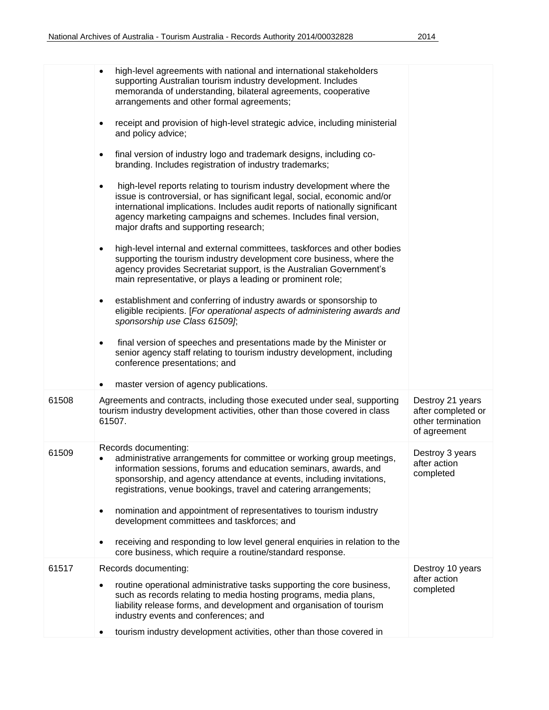|       | high-level agreements with national and international stakeholders<br>$\bullet$<br>supporting Australian tourism industry development. Includes<br>memoranda of understanding, bilateral agreements, cooperative<br>arrangements and other formal agreements;                                                                                               |                                                                             |
|-------|-------------------------------------------------------------------------------------------------------------------------------------------------------------------------------------------------------------------------------------------------------------------------------------------------------------------------------------------------------------|-----------------------------------------------------------------------------|
|       | receipt and provision of high-level strategic advice, including ministerial<br>$\bullet$<br>and policy advice;                                                                                                                                                                                                                                              |                                                                             |
|       | final version of industry logo and trademark designs, including co-<br>$\bullet$<br>branding. Includes registration of industry trademarks;                                                                                                                                                                                                                 |                                                                             |
|       | high-level reports relating to tourism industry development where the<br>$\bullet$<br>issue is controversial, or has significant legal, social, economic and/or<br>international implications. Includes audit reports of nationally significant<br>agency marketing campaigns and schemes. Includes final version,<br>major drafts and supporting research; |                                                                             |
|       | high-level internal and external committees, taskforces and other bodies<br>$\bullet$<br>supporting the tourism industry development core business, where the<br>agency provides Secretariat support, is the Australian Government's<br>main representative, or plays a leading or prominent role;                                                          |                                                                             |
|       | establishment and conferring of industry awards or sponsorship to<br>٠<br>eligible recipients. [For operational aspects of administering awards and<br>sponsorship use Class 61509];                                                                                                                                                                        |                                                                             |
|       | final version of speeches and presentations made by the Minister or<br>senior agency staff relating to tourism industry development, including<br>conference presentations; and                                                                                                                                                                             |                                                                             |
|       | master version of agency publications.                                                                                                                                                                                                                                                                                                                      |                                                                             |
| 61508 | Agreements and contracts, including those executed under seal, supporting<br>tourism industry development activities, other than those covered in class<br>61507.                                                                                                                                                                                           | Destroy 21 years<br>after completed or<br>other termination<br>of agreement |
| 61509 | Records documenting:<br>administrative arrangements for committee or working group meetings,<br>٠<br>information sessions, forums and education seminars, awards, and<br>sponsorship, and agency attendance at events, including invitations,<br>registrations, venue bookings, travel and catering arrangements;                                           | Destroy 3 years<br>after action<br>completed                                |
|       | nomination and appointment of representatives to tourism industry<br>٠<br>development committees and taskforces; and                                                                                                                                                                                                                                        |                                                                             |
|       | receiving and responding to low level general enquiries in relation to the<br>$\bullet$<br>core business, which require a routine/standard response.                                                                                                                                                                                                        |                                                                             |
| 61517 | Records documenting:                                                                                                                                                                                                                                                                                                                                        | Destroy 10 years                                                            |
|       | routine operational administrative tasks supporting the core business,<br>such as records relating to media hosting programs, media plans,<br>liability release forms, and development and organisation of tourism<br>industry events and conferences; and                                                                                                  | after action<br>completed                                                   |
|       | tourism industry development activities, other than those covered in<br>٠                                                                                                                                                                                                                                                                                   |                                                                             |